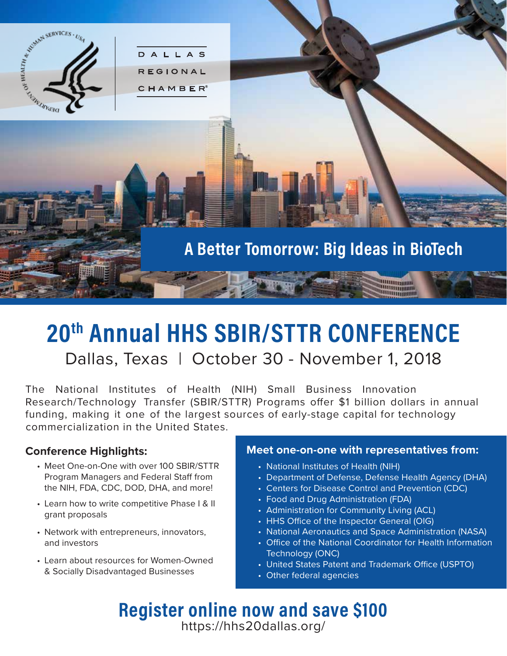

### **20th Annual HHS SBIR/STTR CONFERENCE** Dallas, Texas | October 30 - November 1, 2018

The National Institutes of Health (NIH) Small Business Innovation Research/Technology Transfer (SBIR/STTR) Programs offer \$1 billion dollars in annual funding, making it one of the largest sources of early-stage capital for technology commercialization in the United States.

### **Conference Highlights:**

- Meet One-on-One with over 100 SBIR/STTR Program Managers and Federal Staff from the NIH, FDA, CDC, DOD, DHA, and more!
- Learn how to write competitive Phase I & II grant proposals
- Network with entrepreneurs, innovators, and investors
- Learn about resources for Women-Owned & Socially Disadvantaged Businesses

#### **Meet one-on-one with representatives from:**

- National Institutes of Health (NIH)
- Department of Defense, Defense Health Agency (DHA)
- Centers for Disease Control and Prevention (CDC)
- Food and Drug Administration (FDA)
- Administration for Community Living (ACL)
- HHS Office of the Inspector General (OIG)
- National Aeronautics and Space Administration (NASA)
- Office of the National Coordinator for Health Information Technology (ONC)
- United States Patent and Trademark Office (USPTO)
- Other federal agencies

**Register online now and save \$100** https://hhs20dallas.org/